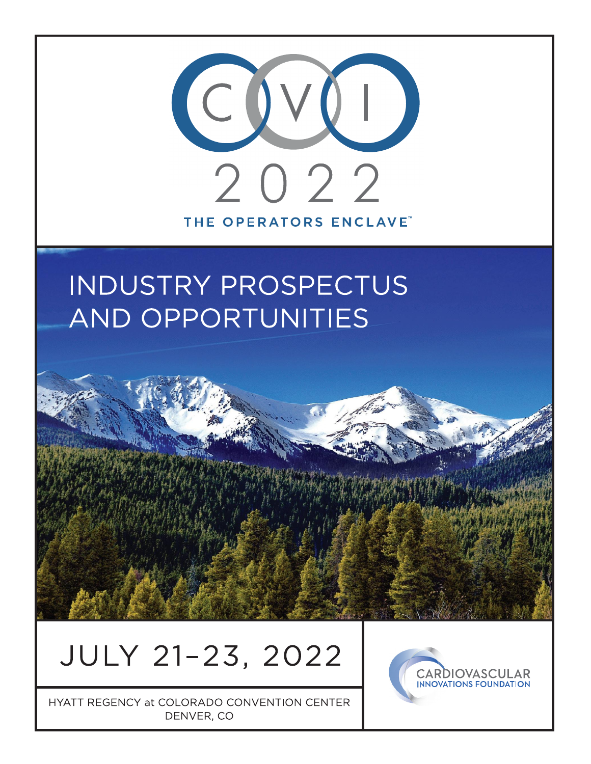

# **INDUSTRY PROSPECTUS AND OPPORTUNITIES**

# JULY 21-23, 2022

HYATT REGENCY at COLORADO CONVENTION CENTER DENVER, CO

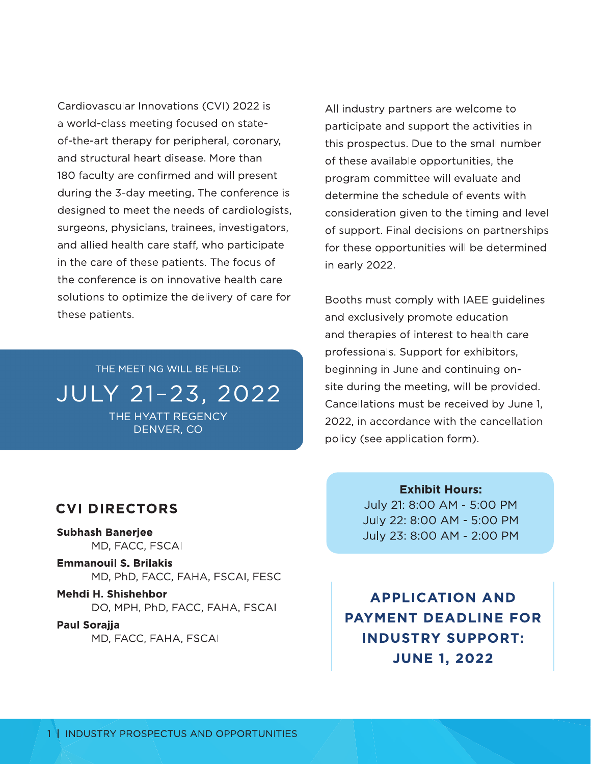Cardiovascular Innovations (CVI) 2022 is a world-class meeting focused on stateof-the-art therapy for peripheral, coronary, and structural heart disease. More than 180 faculty are confirmed and will present during the 3-day meeting. The conference is designed to meet the needs of cardiologists, surgeons, physicians, trainees, investigators, and allied health care staff, who participate in the care of these patients. The focus of the conference is on innovative health care solutions to optimize the delivery of care for these patients.

THE MEETING WILL BE HELD: JULY 21-23, 2022 THE HYATT REGENCY DENVER, CO

#### **CVI DIRECTORS**

**Subhash Baneriee** MD, FACC, FSCAI

**Emmanouil S. Brilakis** MD, PhD, FACC, FAHA, FSCAI, FESC

Mehdi H. Shishehbor DO, MPH, PhD, FACC, FAHA, FSCAI

Paul Sorajja MD, FACC, FAHA, FSCAI All industry partners are welcome to participate and support the activities in this prospectus. Due to the small number of these available opportunities, the program committee will evaluate and determine the schedule of events with consideration given to the timing and level of support. Final decisions on partnerships for these opportunities will be determined in early 2022.

Booths must comply with IAEE guidelines and exclusively promote education and therapies of interest to health care professionals. Support for exhibitors, beginning in June and continuing onsite during the meeting, will be provided. Cancellations must be received by June 1, 2022, in accordance with the cancellation policy (see application form).

> **Exhibit Hours:** July 21: 8:00 AM - 5:00 PM July 22: 8:00 AM - 5:00 PM July 23: 8:00 AM - 2:00 PM

**APPLICATION AND PAYMENT DEADLINE FOR INDUSTRY SUPPORT: JUNE 1, 2022**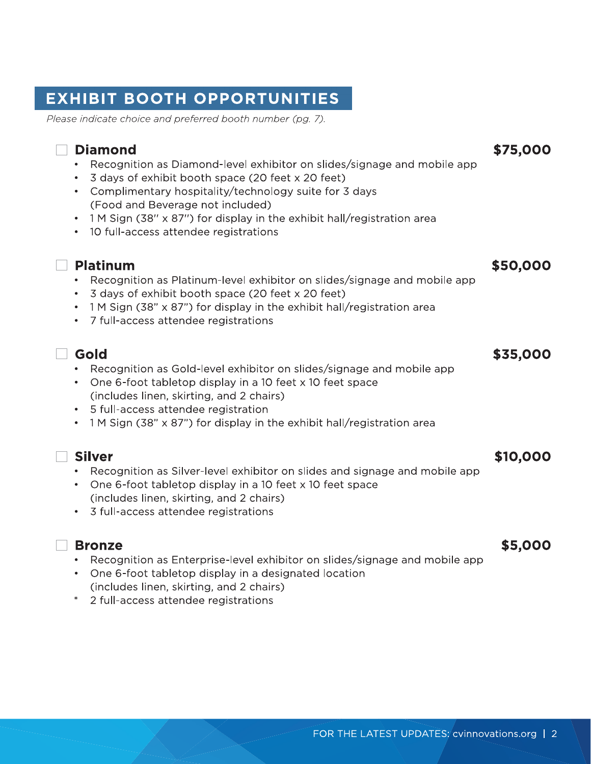Please indicate choice and preferred booth number (pg. 7).

- $\mu$  ,  $\mu$  ,  $\mu$  ,  $\mu$  ,  $\mu$  ,  $\mu$  ,  $\mu$  ,  $\mu$  ,  $\mu$  ,  $\mu$  ,  $\mu$  ,  $\mu$  ,  $\mu$  ,  $\mu$  ,  $\mu$  ,  $\mu$  ,  $\mu$  ,  $\mu$  ,  $\mu$  ,  $\mu$  ,  $\mu$  ,  $\mu$  ,  $\mu$  ,  $\mu$  ,  $\mu$  ,  $\mu$  ,  $\mu$  ,  $\mu$  ,  $\mu$  ,  $\mu$  ,  $\mu$  ,  $\mu$  $\bullet$  - Recognition as Diamond-level exhibitor on sildes/signage and mobile app  $\bullet$
- 3 days of exhibit booth space (20 feet x 20 feet)
- **EXHIBIT BOOTH OPPORTUNITIES**<br>
Please indicate choice and preferred booth number (pg. 7).<br>
□ **Diamond**<br>
 Recognition as Diamond-level exhibitor on slides/signage and mobile app<br>
 3 days of exhibit booth space (20 feet x • Complimentary hospitality/technology suite for 3 days (Food and Beverage not included)
	- $\bullet$  T M Sign (38" x 87") for display in the exhibit hall/registration area.
	- 10 full-access attendee registrations

- $P$ iatinum \$50,000  $\sim$  $\bullet$  - Recognition as Platinum-level exhibitor on sildes/signage and mobile app  $\bullet$
- 3 days of exhibit booth space (20 feet x 20 feet)
- $\bullet$  T M Sign (38" x 87") for display in the exhibit hall/registration area.
- 7 full-access attendee registrations

#### Q,M. /R12333 • Recognition as Gold-level exhibitor on slides/signage and mobile app

- One 6-foot tabletop display in a 10 feet x 10 feet space (includes linen, skirting, and 2 chairs) \$35,000<br>
• Recognition as Gold-level exhibitor on slides/signage and mobile app<br>
• One 6-foot tabletop display in a 10 feet x 10 feet space<br>
(includes linen, skirting, and 2 chairs)<br>
• IM Sign (38" x 87") for display in th
	- 5 full-access attendee registration
	- $\bullet$  T M Sign (38" x 87") for display in the exhibit hall/registration area.

- Recognition as Silver-level exhibitor on slides and signage and mobile app
- One 6-foot tabletop display in a 10 feet x 10 feet space  $\overline{ }$ (includes linen, skirting, and 2 chairs)
- 3 full-access attendee registrations

- $\frac{1}{2}$   $\frac{1}{2}$   $\frac{1}{2}$   $\frac{1}{2}$   $\frac{1}{2}$   $\frac{1}{2}$   $\frac{1}{2}$   $\frac{1}{2}$   $\frac{1}{2}$   $\frac{1}{2}$   $\frac{1}{2}$   $\frac{1}{2}$   $\frac{1}{2}$   $\frac{1}{2}$   $\frac{1}{2}$   $\frac{1}{2}$   $\frac{1}{2}$   $\frac{1}{2}$   $\frac{1}{2}$   $\frac{1}{2}$   $\frac{1}{2}$   $\frac{1}{2}$   $\bullet$  - Recognition as Enterprise-level exhibitor on sildes/signage and mobile app  $\bullet$
- $\bullet$  . One 6-foot tabletop display in a designated location (includes linen, skirting, and 2 chairs)
- \* 2 full-access attendee registrations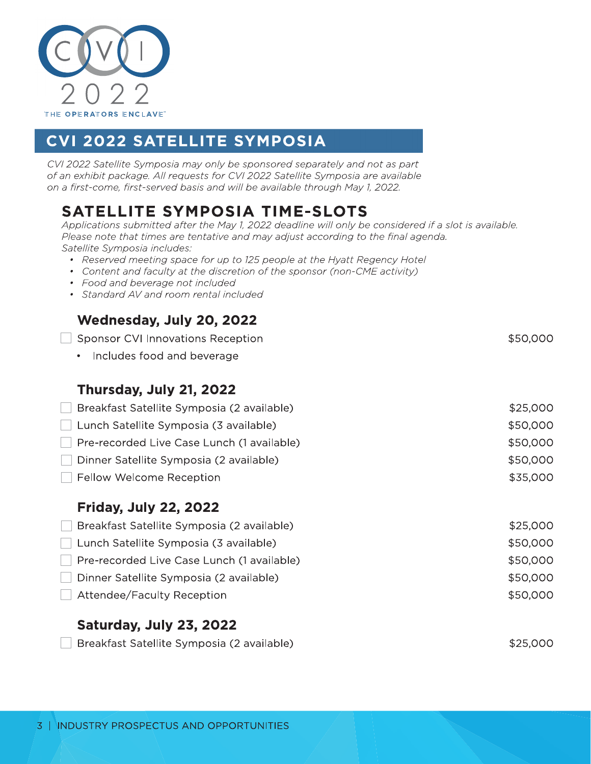

# **CVI 2022 SATELLITE SYMPOSIA**

CVI 2022 Satellite Symposia may only be sponsored separately and not as part of an exhibit package. All requests for CVI 2022 Satellite Symposia are available on a first-come, first-served basis and will be available through May 1, 2022.

# **SATELLITE SYMPOSIA TIME-SLOTS**

Applications submitted after the May 1, 2022 deadline will only be considered if a slot is available. Please note that times are tentative and may adjust according to the final agenda. Satellite Symposia includes:

- Reserved meeting space for up to 125 people at the Hyatt Regency Hotel
- Content and faculty at the discretion of the sponsor (non-CME activity)
- Food and beverage not included
- Standard AV and room rental included

#### Wednesday, July 20, 2022

| Sponsor CVI Innovations Reception          | \$50,000 |
|--------------------------------------------|----------|
| Includes food and beverage<br>$\bullet$    |          |
| Thursday, July 21, 2022                    |          |
| Breakfast Satellite Symposia (2 available) | \$25,000 |
| Lunch Satellite Symposia (3 available)     | \$50,000 |
| Pre-recorded Live Case Lunch (1 available) | \$50,000 |
| Dinner Satellite Symposia (2 available)    | \$50,000 |
| Fellow Welcome Reception                   | \$35,000 |
| <b>Friday, July 22, 2022</b>               |          |

| Breakfast Satellite Symposia (2 available) | \$25,000 |
|--------------------------------------------|----------|
| Lunch Satellite Symposia (3 available)     | \$50,000 |
| Pre-recorded Live Case Lunch (1 available) | \$50,000 |
| Dinner Satellite Symposia (2 available)    | \$50,000 |
| Attendee/Faculty Reception                 | \$50,000 |
|                                            |          |

#### Saturday, July 23, 2022

Breakfast Satellite Symposia (2 available)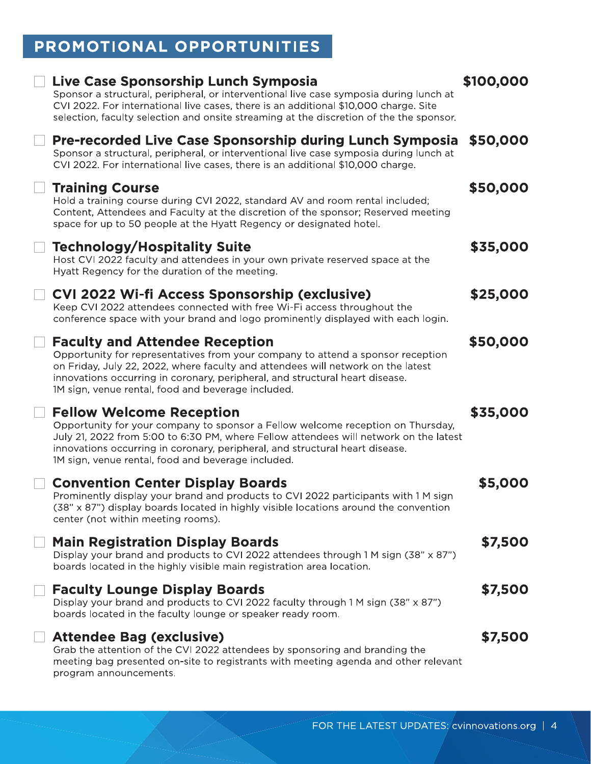# PROMOTIONAL OPPORTUNITIES

| Live Case Sponsorship Lunch Symposia<br>Sponsor a structural, peripheral, or interventional live case symposia during lunch at<br>CVI 2022. For international live cases, there is an additional \$10,000 charge. Site<br>selection, faculty selection and onsite streaming at the discretion of the the sponsor.                                  | \$100,000 |
|----------------------------------------------------------------------------------------------------------------------------------------------------------------------------------------------------------------------------------------------------------------------------------------------------------------------------------------------------|-----------|
| <b>Pre-recorded Live Case Sponsorship during Lunch Symposia</b><br>Sponsor a structural, peripheral, or interventional live case symposia during lunch at<br>CVI 2022. For international live cases, there is an additional \$10,000 charge.                                                                                                       | \$50,000  |
| <b>Training Course</b><br>Hold a training course during CVI 2022, standard AV and room rental included;<br>Content, Attendees and Faculty at the discretion of the sponsor; Reserved meeting<br>space for up to 50 people at the Hyatt Regency or designated hotel.                                                                                | \$50,000  |
| <b>Technology/Hospitality Suite</b><br>Host CVI 2022 faculty and attendees in your own private reserved space at the<br>Hyatt Regency for the duration of the meeting.                                                                                                                                                                             | \$35,000  |
| CVI 2022 Wi-fi Access Sponsorship (exclusive)<br>Keep CVI 2022 attendees connected with free Wi-Fi access throughout the<br>conference space with your brand and logo prominently displayed with each login.                                                                                                                                       | \$25,000  |
| <b>Faculty and Attendee Reception</b><br>Opportunity for representatives from your company to attend a sponsor reception<br>on Friday, July 22, 2022, where faculty and attendees will network on the latest<br>innovations occurring in coronary, peripheral, and structural heart disease.<br>1M sign, venue rental, food and beverage included. | \$50,000  |
| <b>Fellow Welcome Reception</b><br>Opportunity for your company to sponsor a Fellow welcome reception on Thursday,<br>July 21, 2022 from 5:00 to 6:30 PM, where Fellow attendees will network on the latest<br>innovations occurring in coronary, peripheral, and structural heart disease.<br>1M sign, venue rental, food and beverage included.  | \$35,000  |
| <b>Convention Center Display Boards</b><br>Prominently display your brand and products to CVI 2022 participants with 1 M sign<br>$(38" \times 87")$ display boards located in highly visible locations around the convention<br>center (not within meeting rooms).                                                                                 | \$5,000   |
| <b>Main Registration Display Boards</b><br>Display your brand and products to CVI 2022 attendees through 1 M sign (38" x 87")<br>boards located in the highly visible main registration area location.                                                                                                                                             | \$7,500   |
| <b>Faculty Lounge Display Boards</b><br>Display your brand and products to CVI 2022 faculty through 1 M sign (38" x 87")<br>boards located in the faculty lounge or speaker ready room.                                                                                                                                                            | \$7,500   |
| <b>Attendee Bag (exclusive)</b><br>Grab the attention of the CVI 2022 attendees by sponsoring and branding the<br>meeting bag presented on-site to registrants with meeting agenda and other relevant<br>program announcements.                                                                                                                    | \$7,500   |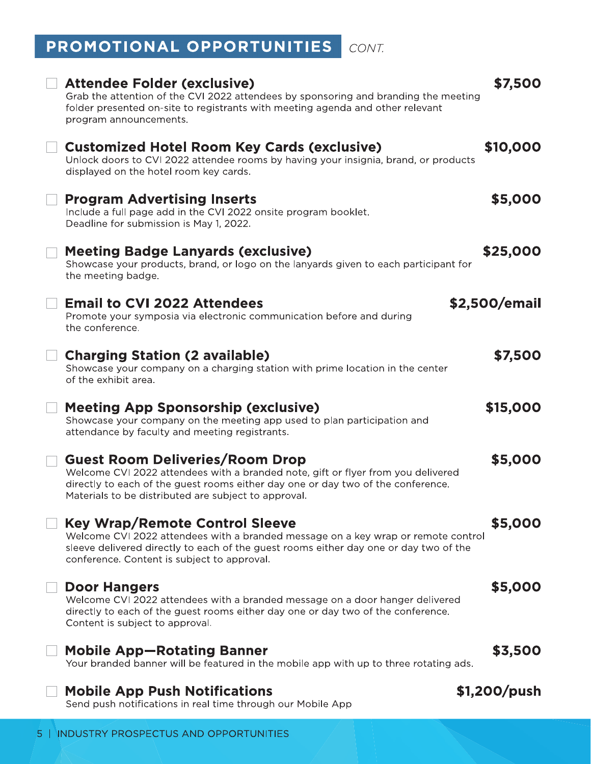# PROMOTIONAL OPPORTUNITIES CONT.

| PROMOTIONAL OPPORTUNITIES<br>CONT.                                                                                                                                                                                                                                     |               |
|------------------------------------------------------------------------------------------------------------------------------------------------------------------------------------------------------------------------------------------------------------------------|---------------|
| <b>Attendee Folder (exclusive)</b><br>Grab the attention of the CVI 2022 attendees by sponsoring and branding the meeting<br>folder presented on-site to registrants with meeting agenda and other relevant<br>program announcements.                                  | \$7,500       |
| <b>Customized Hotel Room Key Cards (exclusive)</b><br>Unlock doors to CVI 2022 attendee rooms by having your insignia, brand, or products<br>displayed on the hotel room key cards.                                                                                    | \$10,000      |
| <b>Program Advertising Inserts</b><br>Include a full page add in the CVI 2022 onsite program booklet.<br>Deadline for submission is May 1, 2022.                                                                                                                       | \$5,000       |
| <b>Meeting Badge Lanyards (exclusive)</b><br>Showcase your products, brand, or logo on the lanyards given to each participant for<br>the meeting badge.                                                                                                                | \$25,000      |
| <b>Email to CVI 2022 Attendees</b><br>Promote your symposia via electronic communication before and during<br>the conference.                                                                                                                                          | \$2,500/email |
| <b>Charging Station (2 available)</b><br>Showcase your company on a charging station with prime location in the center<br>of the exhibit area.                                                                                                                         | \$7,500       |
| <b>Meeting App Sponsorship (exclusive)</b><br>Showcase your company on the meeting app used to plan participation and<br>attendance by faculty and meeting registrants.                                                                                                | \$15,000      |
| <b>Guest Room Deliveries/Room Drop</b><br>Welcome CVI 2022 attendees with a branded note, gift or flyer from you delivered<br>directly to each of the guest rooms either day one or day two of the conference.<br>Materials to be distributed are subject to approval. | \$5,000       |
| <b>Key Wrap/Remote Control Sleeve</b><br>Welcome CVI 2022 attendees with a branded message on a key wrap or remote control<br>sleeve delivered directly to each of the guest rooms either day one or day two of the<br>conference. Content is subject to approval.     | \$5,000       |
| <b>Door Hangers</b><br>Welcome CVI 2022 attendees with a branded message on a door hanger delivered<br>directly to each of the guest rooms either day one or day two of the conference.<br>Content is subject to approval.                                             | \$5,000       |
| <b>Mobile App-Rotating Banner</b><br>Your branded banner will be featured in the mobile app with up to three rotating ads.                                                                                                                                             | \$3,500       |
| <b>Mobile App Push Notifications</b><br>Send push notifications in real time through our Mobile App                                                                                                                                                                    | \$1,200/push  |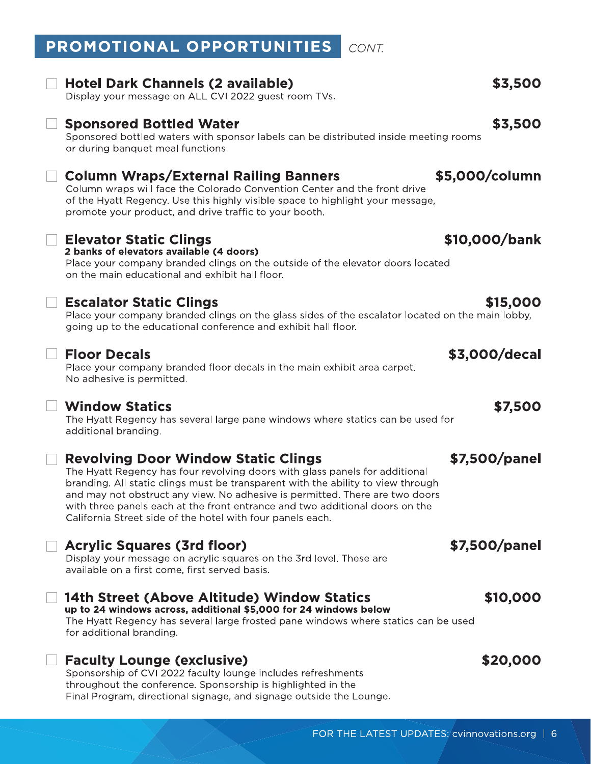#### PROMOTIONAL OPPORTUNITIES CONT.

#### **Hotel Dark Channels (2 available)**

Display your message on ALL CVI 2022 guest room TVs.

### **Sponsored Bottled Water**

Sponsored bottled waters with sponsor labels can be distributed inside meeting rooms or during banquet meal functions

### **Column Wraps/External Railing Banners**

Column wraps will face the Colorado Convention Center and the front drive of the Hyatt Regency. Use this highly visible space to highlight your message, promote your product, and drive traffic to your booth.

### **Elevator Static Clings**

2 banks of elevators available (4 doors) Place your company branded clings on the outside of the elevator doors located on the main educational and exhibit hall floor.

### **Escalator Static Clings**

Place your company branded clings on the glass sides of the escalator located on the main lobby, going up to the educational conference and exhibit hall floor.

#### **Floor Decals**

Place your company branded floor decals in the main exhibit area carpet. No adhesive is permitted.

#### **Window Statics**

The Hyatt Regency has several large pane windows where statics can be used for additional branding.

### **Revolving Door Window Static Clings**

The Hyatt Regency has four revolving doors with glass panels for additional branding. All static clings must be transparent with the ability to view through and may not obstruct any view. No adhesive is permitted. There are two doors with three panels each at the front entrance and two additional doors on the California Street side of the hotel with four panels each.

### **Acrylic Squares (3rd floor)**

Display your message on acrylic squares on the 3rd level. These are available on a first come, first served basis.

#### 14th Street (Above Altitude) Window Statics

up to 24 windows across, additional \$5,000 for 24 windows below The Hyatt Regency has several large frosted pane windows where statics can be used for additional branding.

#### **Faculty Lounge (exclusive)**

Sponsorship of CVI 2022 faculty lounge includes refreshments throughout the conference. Sponsorship is highlighted in the Final Program, directional signage, and signage outside the Lounge. \$10,000/bank

\$5,000/column

# \$15,000

### \$3,000/decal

### \$7,500

#### \$7,500/panel

#### \$7,500/panel

\$10,000

#### \$20,000

#### \$3,500

\$3,500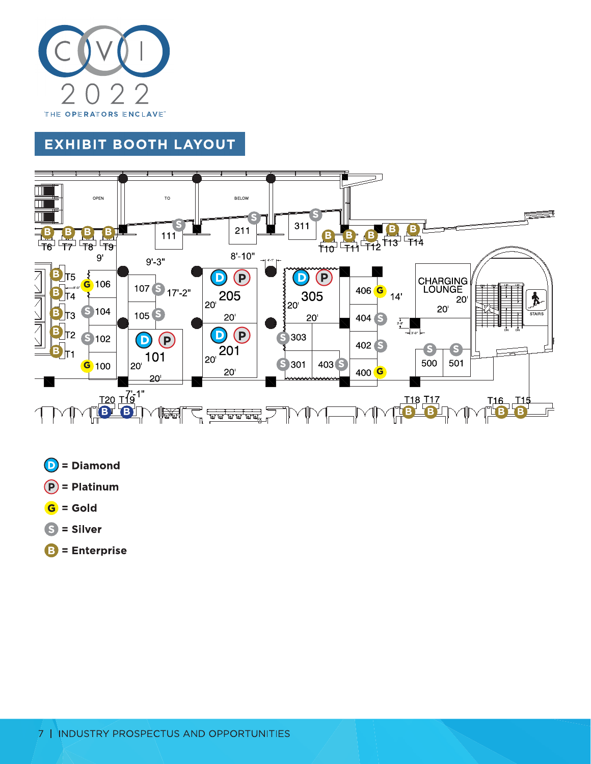

## **EXHIBIT BOOTH LAYOUT**



- $\odot$  = Diamond
- $(P)$  = Platinum
- $G =$  Gold
- $S =$  Silver
- $B =$  Enterprise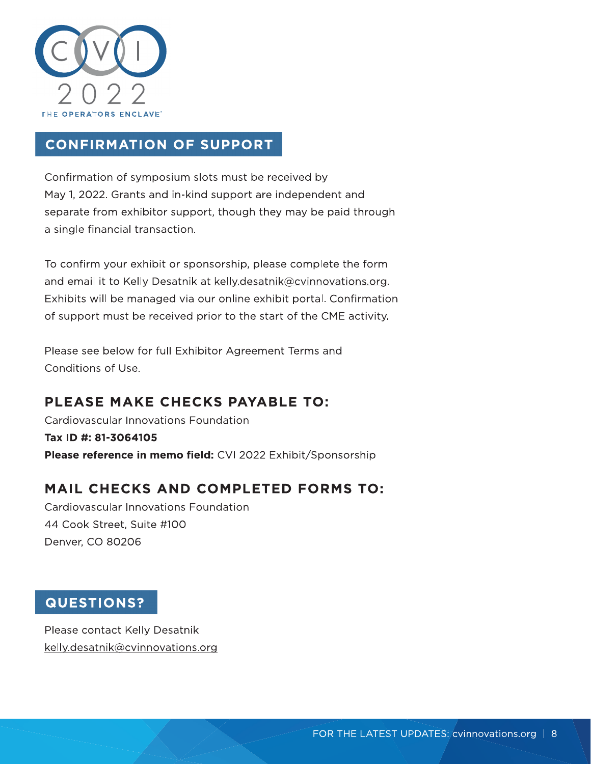

## **CONFIRMATION OF SUPPORT**

Confirmation of symposium slots must be received by May 1, 2022. Grants and in-kind support are independent and separate from exhibitor support, though they may be paid through a single financial transaction.

To confirm your exhibit or sponsorship, please complete the form and email it to Kelly Desatnik at kelly.desatnik@cvinnovations.org. Exhibits will be managed via our online exhibit portal. Confirmation of support must be received prior to the start of the CME activity.

Please see below for full Exhibitor Agreement Terms and Conditions of Use.

## PLEASE MAKE CHECKS PAYABLE TO:

Cardiovascular Innovations Foundation Tax ID #: 81-3064105 Please reference in memo field: CVI 2022 Exhibit/Sponsorship

### MAIL CHECKS AND COMPLETED FORMS TO:

Cardiovascular Innovations Foundation 44 Cook Street, Suite #100 Denver, CO 80206

#### **QUESTIONS?**

Please contact Kelly Desatnik kelly.desatnik@cvinnovations.org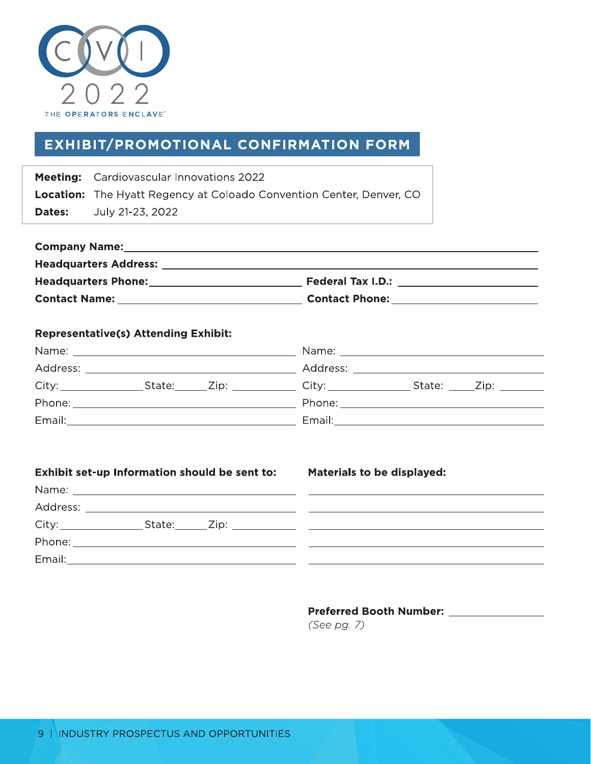

### **EXHIBIT/PROMOTIONAL CONFIRMATION FORM**

|               | <b>Meeting:</b> Cardiovascular Innovations 2022                             |
|---------------|-----------------------------------------------------------------------------|
|               | <b>Location:</b> The Hyatt Regency at Coloado Convention Center, Denver, CO |
| <b>Dates:</b> | July 21-23, 2022                                                            |

| <b>Company Name:</b>         |                          |
|------------------------------|--------------------------|
| <b>Headquarters Address:</b> |                          |
| <b>Headquarters Phone:</b>   | <b>Federal Tax I.D.:</b> |
| <b>Contact Name:</b>         | <b>Contact Phone:</b>    |

#### **Representative(s) Attending Exhibit:**

|          |                                                                                                                      |                  | Name: when the contract of the contract of the contract of the contract of the contract of the contract of the |                  |  |
|----------|----------------------------------------------------------------------------------------------------------------------|------------------|----------------------------------------------------------------------------------------------------------------|------------------|--|
| Address: | <u> 1980 - Jan Stein Stein Stein Stein Stein Stein Stein Stein Stein Stein Stein Stein Stein Stein Stein Stein S</u> |                  |                                                                                                                |                  |  |
| City:    |                                                                                                                      | State: Zip: Zip: |                                                                                                                | State: Zip: 2008 |  |
| Phone:   |                                                                                                                      |                  |                                                                                                                |                  |  |
| Email:   |                                                                                                                      |                  | Email:                                                                                                         |                  |  |

#### Exhibit set-up Information should be sent to: Materials to be displayed:

| Name:                   |                                                            |
|-------------------------|------------------------------------------------------------|
| Address:                |                                                            |
| City:<br>State:<br>Zip: | <u> 1980 - Jan Barbara Santa Barbara, maska kardinal (</u> |
| Phone:                  |                                                            |
| Email:                  |                                                            |

#### Preferred Booth Number: \_\_\_\_\_\_\_\_\_\_\_\_\_\_\_

(See pg. 7)